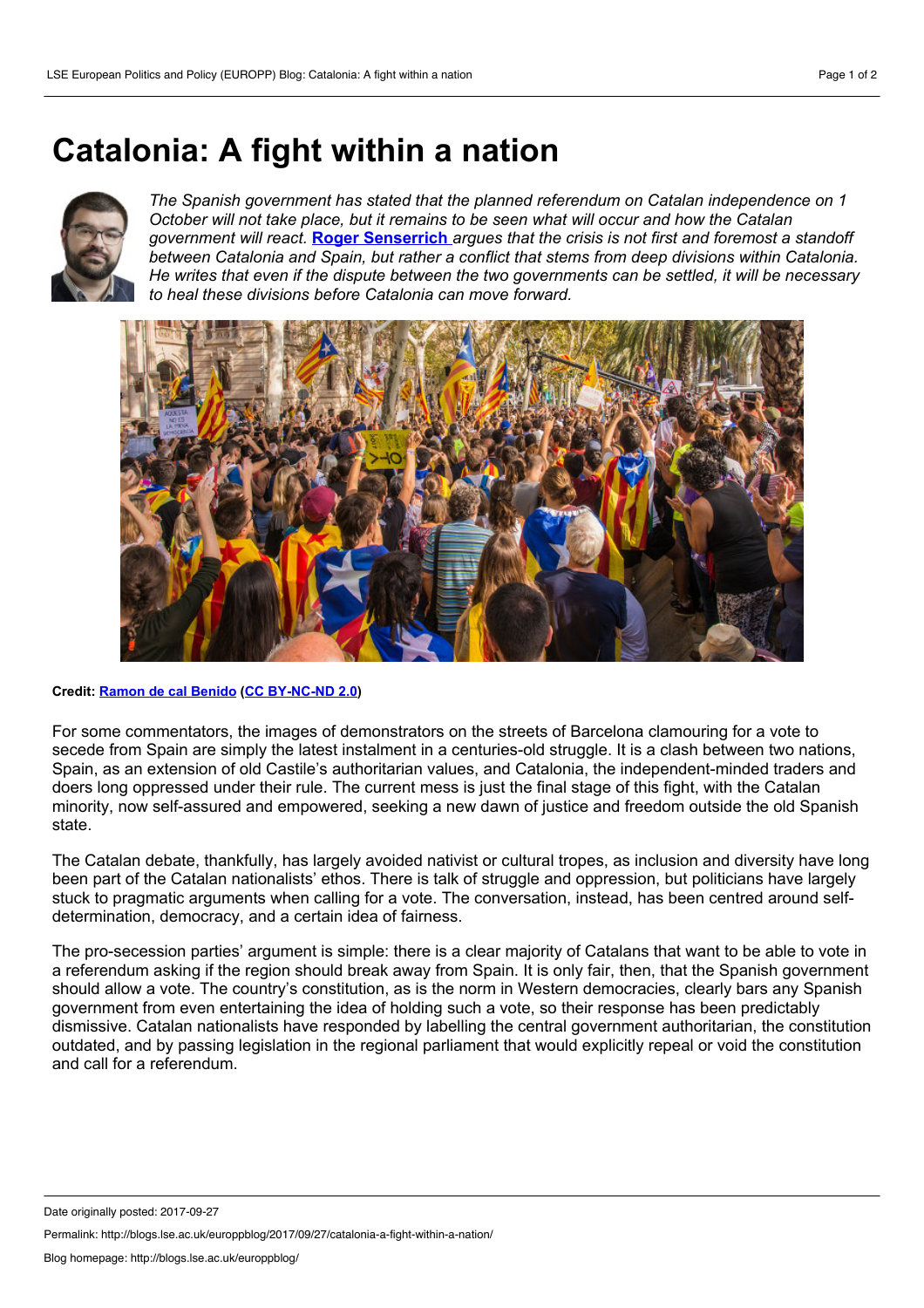## <span id="page-0-0"></span>**Catalonia: A fight within a nation**



*The Spanish government has stated that the planned referendum on Catalan independence on 1 October willnot take place, but it remains to be seen what will occur and how the Catalan government will react.* **Roger [Senserrich](#page-0-0)** *argues that the crisis is not first and foremost a standoff between Catalonia and Spain, but rather a conflict that stems from deep divisions within Catalonia. He writes that even if the dispute between the two governments can be settled, itwill be necessary to heal these divisions before Catalonia can move forward.*



**Credit: [Ramon](https://www.flickr.com/photos/calbenido/37236241892/) de cal Benido (CC [BY-NC-ND](https://creativecommons.org/licenses/by-nc-nd/2.0/) 2.0)**

For some commentators, the images of demonstrators on the streets of Barcelona clamouring for a vote to secede from Spain are simply the latest instalment in a centuries-old struggle. It is a clash between two nations, Spain, as an extension of old Castile's authoritarian values, and Catalonia, the independent-minded traders and doers long oppressed under their rule. The current mess is just the final stage of this fight, with the Catalan minority, now self-assured and empowered, seeking a new dawn of justice and freedom outside the old Spanish state.

The Catalan debate, thankfully, has largely avoided nativist or cultural tropes, as inclusion and diversity have long been part of the Catalan nationalists' ethos. There is talk of struggle and oppression, but politicians have largely stuck to pragmatic arguments when calling for a vote. The conversation, instead, has been centred around self determination, democracy, and a certain idea of fairness.

The pro-secession parties' argument is simple: there is a clear majority of Catalans that want to be able to vote in a referendum asking if the region should break away from Spain. It is only fair, then, that the Spanish government should allow a vote. The country's constitution, as is the norm in Western democracies, clearly bars any Spanish government from even entertaining the idea of holding such a vote, so their response has been predictably dismissive. Catalan nationalists have responded by labelling the central government authoritarian, the constitution outdated, and by passing legislation in the regional parliament that would explicitly repeal or void the constitution and call for a referendum.

Permalink: http://blogs.lse.ac.uk/europpblog/2017/09/27/catalonia-a-fight-within-a-nation/

Date originally posted: 2017-09-27